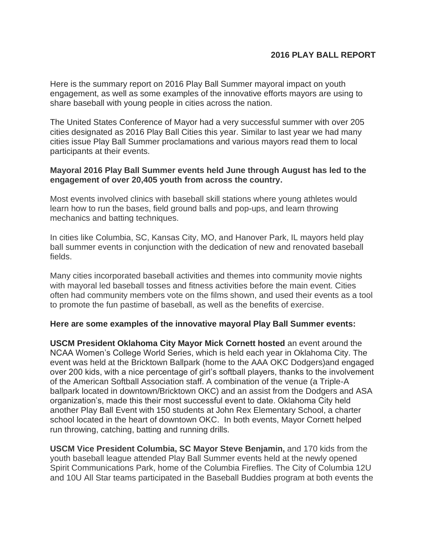## **2016 PLAY BALL REPORT**

Here is the summary report on 2016 Play Ball Summer mayoral impact on youth engagement, as well as some examples of the innovative efforts mayors are using to share baseball with young people in cities across the nation.

The United States Conference of Mayor had a very successful summer with over 205 cities designated as 2016 Play Ball Cities this year. Similar to last year we had many cities issue Play Ball Summer proclamations and various mayors read them to local participants at their events.

## **Mayoral 2016 Play Ball Summer events held June through August has led to the engagement of over 20,405 youth from across the country.**

Most events involved clinics with baseball skill stations where young athletes would learn how to run the bases, field ground balls and pop-ups, and learn throwing mechanics and batting techniques.

In cities like Columbia, SC, Kansas City, MO, and Hanover Park, IL mayors held play ball summer events in conjunction with the dedication of new and renovated baseball fields.

Many cities incorporated baseball activities and themes into community movie nights with mayoral led baseball tosses and fitness activities before the main event. Cities often had community members vote on the films shown, and used their events as a tool to promote the fun pastime of baseball, as well as the benefits of exercise.

## **Here are some examples of the innovative mayoral Play Ball Summer events:**

**USCM President Oklahoma City Mayor Mick Cornett hosted** an event around the NCAA Women's College World Series, which is held each year in Oklahoma City. The event was held at the Bricktown Ballpark (home to the AAA OKC Dodgers)and engaged over 200 kids, with a nice percentage of girl's softball players, thanks to the involvement of the American Softball Association staff. A combination of the venue (a Triple-A ballpark located in downtown/Bricktown OKC) and an assist from the Dodgers and ASA organization's, made this their most successful event to date. Oklahoma City held another Play Ball Event with 150 students at John Rex Elementary School, a charter school located in the heart of downtown OKC. In both events, Mayor Cornett helped run throwing, catching, batting and running drills.

**USCM Vice President Columbia, SC Mayor Steve Benjamin,** and 170 kids from the youth baseball league attended Play Ball Summer events held at the newly opened Spirit Communications Park, home of the Columbia Fireflies. The City of Columbia 12U and 10U All Star teams participated in the Baseball Buddies program at both events the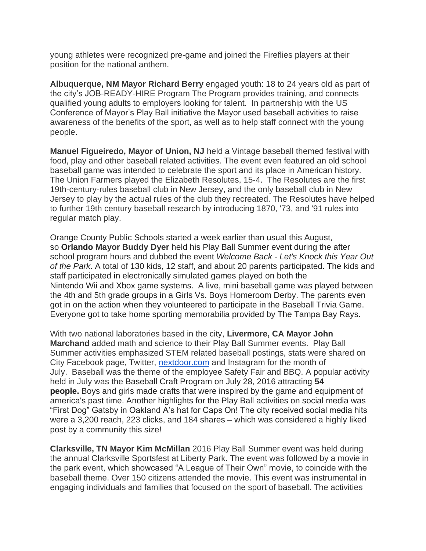young athletes were recognized pre-game and joined the Fireflies players at their position for the national anthem.

**Albuquerque, NM Mayor Richard Berry** engaged youth: 18 to 24 years old as part of the city's JOB-READY-HIRE Program The Program provides training, and connects qualified young adults to employers looking for talent. In partnership with the US Conference of Mayor's Play Ball initiative the Mayor used baseball activities to raise awareness of the benefits of the sport, as well as to help staff connect with the young people.

**Manuel Figueiredo, Mayor of Union, NJ** held a Vintage baseball themed festival with food, play and other baseball related activities. The event even featured an old school baseball game was intended to celebrate the sport and its place in American history. The Union Farmers played the Elizabeth Resolutes, 15-4. The Resolutes are the first 19th-century-rules baseball club in New Jersey, and the only baseball club in New Jersey to play by the actual rules of the club they recreated. The Resolutes have helped to further 19th century baseball research by introducing 1870, '73, and '91 rules into regular match play.

Orange County Public Schools started a week earlier than usual this August, so **Orlando Mayor Buddy Dyer** held his Play Ball Summer event during the after school program hours and dubbed the event *Welcome Back - Let's Knock this Year Out of the Park*. A total of 130 kids, 12 staff, and about 20 parents participated. The kids and staff participated in electronically simulated games played on both the Nintendo Wii and Xbox game systems. A live, mini baseball game was played between the 4th and 5th grade groups in a Girls Vs. Boys Homeroom Derby. The parents even got in on the action when they volunteered to participate in the Baseball Trivia Game. Everyone got to take home sporting memorabilia provided by The Tampa Bay Rays.

With two national laboratories based in the city, **Livermore, CA Mayor John Marchand** added math and science to their Play Ball Summer events. Play Ball Summer activities emphasized STEM related baseball postings, stats were shared on City Facebook page, Twitter, [nextdoor.com](http://nextdoor.com/) and Instagram for the month of July. Baseball was the theme of the employee Safety Fair and BBQ. A popular activity held in July was the Baseball Craft Program on July 28, 2016 attracting **54 people.** Boys and girls made crafts that were inspired by the game and equipment of america's past time. Another highlights for the Play Ball activities on social media was "First Dog" Gatsby in Oakland A's hat for Caps On! The city received social media hits were a 3,200 reach, 223 clicks, and 184 shares – which was considered a highly liked post by a community this size!

**Clarksville, TN Mayor Kim McMillan** 2016 Play Ball Summer event was held during the annual Clarksville Sportsfest at Liberty Park. The event was followed by a movie in the park event, which showcased "A League of Their Own" movie, to coincide with the baseball theme. Over 150 citizens attended the movie. This event was instrumental in engaging individuals and families that focused on the sport of baseball. The activities